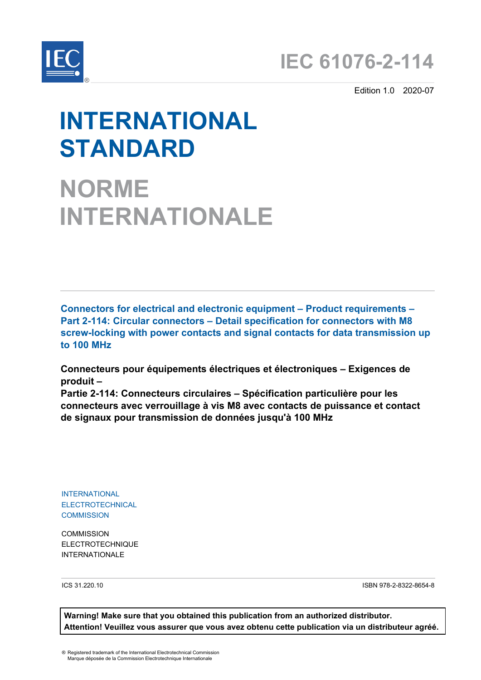

Edition 1.0 2020-07

# **INTERNATIONAL STANDARD**

# **NORME INTERNATIONALE**

**Connectors for electrical and electronic equipment – Product requirements – Part 2-114: Circular connectors – Detail specification for connectors with M8 screw-locking with power contacts and signal contacts for data transmission up to 100 MHz** 

**Connecteurs pour équipements électriques et électroniques – Exigences de produit –** 

**Partie 2-114: Connecteurs circulaires – Spécification particulière pour les connecteurs avec verrouillage à vis M8 avec contacts de puissance et contact de signaux pour transmission de données jusqu'à 100 MHz**

INTERNATIONAL ELECTROTECHNICAL **COMMISSION** 

**COMMISSION** ELECTROTECHNIQUE INTERNATIONALE

ICS 31.220.10 ISBN 978-2-8322-8654-8

**Warning! Make sure that you obtained this publication from an authorized distributor. Attention! Veuillez vous assurer que vous avez obtenu cette publication via un distributeur agréé.**

® Registered trademark of the International Electrotechnical Commission Marque déposée de la Commission Electrotechnique Internationale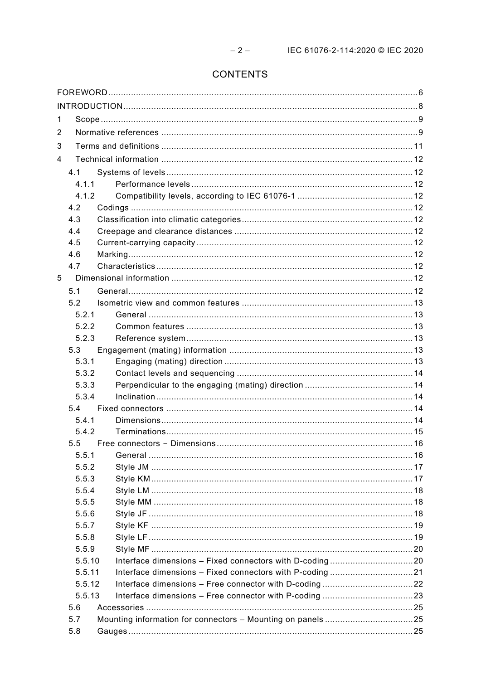# **CONTENTS**

| 1 |        |                                                         |  |
|---|--------|---------------------------------------------------------|--|
| 2 |        |                                                         |  |
| 3 |        |                                                         |  |
| 4 |        |                                                         |  |
|   | 4.1    |                                                         |  |
|   | 4.1.1  |                                                         |  |
|   | 4.1.2  |                                                         |  |
|   | 4.2    |                                                         |  |
|   | 4.3    |                                                         |  |
|   | 4.4    |                                                         |  |
|   | 4.5    |                                                         |  |
|   | 4.6    |                                                         |  |
|   | 4.7    |                                                         |  |
| 5 |        |                                                         |  |
|   | 5.1    |                                                         |  |
|   | 5.2    |                                                         |  |
|   | 5.2.1  |                                                         |  |
|   | 5.2.2  |                                                         |  |
|   | 5.2.3  |                                                         |  |
|   | 5.3    |                                                         |  |
|   | 5.3.1  |                                                         |  |
|   | 5.3.2  |                                                         |  |
|   | 5.3.3  |                                                         |  |
|   | 5.3.4  |                                                         |  |
|   | 5.4    |                                                         |  |
|   | 5.4.1  |                                                         |  |
|   | 5.4.2  |                                                         |  |
|   | 5.5    |                                                         |  |
|   | 5.5.1  |                                                         |  |
|   | 5.5.2  |                                                         |  |
|   | 5.5.3  |                                                         |  |
|   | 5.5.4  |                                                         |  |
|   | 5.5.5  |                                                         |  |
|   | 5.5.6  |                                                         |  |
|   | 5.5.7  |                                                         |  |
|   | 5.5.8  |                                                         |  |
|   | 5.5.9  |                                                         |  |
|   | 5.5.10 |                                                         |  |
|   | 5.5.11 | Interface dimensions - Fixed connectors with P-coding21 |  |
|   | 5.5.12 | Interface dimensions - Free connector with D-coding22   |  |
|   | 5.5.13 |                                                         |  |
|   | 5.6    |                                                         |  |
|   | 5.7    |                                                         |  |
|   | 5.8    |                                                         |  |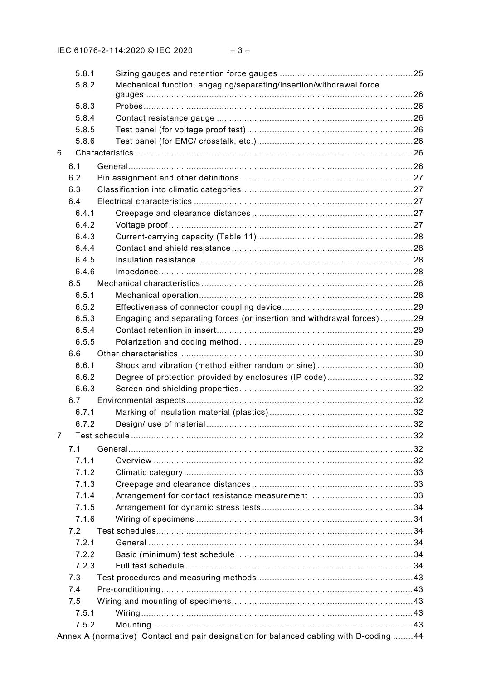|                | 5.8.1          |                                                                                        |  |
|----------------|----------------|----------------------------------------------------------------------------------------|--|
|                | 5.8.2          | Mechanical function, engaging/separating/insertion/withdrawal force                    |  |
|                |                |                                                                                        |  |
|                | 5.8.3          |                                                                                        |  |
|                | 5.8.4          |                                                                                        |  |
|                | 5.8.5          |                                                                                        |  |
|                | 5.8.6          |                                                                                        |  |
| 6              |                |                                                                                        |  |
|                | 6.1            |                                                                                        |  |
|                | 6.2            |                                                                                        |  |
|                | 6.3            |                                                                                        |  |
|                | 6.4            |                                                                                        |  |
|                | 6.4.1          |                                                                                        |  |
|                | 6.4.2          |                                                                                        |  |
|                | 6.4.3          |                                                                                        |  |
|                | 6.4.4          |                                                                                        |  |
|                | 6.4.5          |                                                                                        |  |
|                | 6.4.6          |                                                                                        |  |
|                | 6.5            |                                                                                        |  |
|                | 6.5.1          |                                                                                        |  |
|                | 6.5.2          |                                                                                        |  |
|                | 6.5.3<br>6.5.4 | Engaging and separating forces (or insertion and withdrawal forces)29                  |  |
|                | 6.5.5          |                                                                                        |  |
|                | 6.6            |                                                                                        |  |
|                | 6.6.1          |                                                                                        |  |
|                | 6.6.2          | Degree of protection provided by enclosures (IP code)32                                |  |
|                | 6.6.3          |                                                                                        |  |
|                | 6.7            |                                                                                        |  |
|                | 6.7.1          |                                                                                        |  |
|                | 6.7.2          |                                                                                        |  |
| $\overline{7}$ |                |                                                                                        |  |
|                |                |                                                                                        |  |
|                | 7.1            |                                                                                        |  |
|                | 7.1.1          |                                                                                        |  |
|                | 7.1.2<br>7.1.3 |                                                                                        |  |
|                | 7.1.4          |                                                                                        |  |
|                | 7.1.5          |                                                                                        |  |
|                | 7.1.6          |                                                                                        |  |
|                | 7.2            |                                                                                        |  |
|                | 7.2.1          |                                                                                        |  |
|                | 7.2.2          |                                                                                        |  |
|                | 7.2.3          |                                                                                        |  |
|                | 7.3            |                                                                                        |  |
|                | 7.4            |                                                                                        |  |
|                | 7.5            |                                                                                        |  |
|                | 7.5.1          |                                                                                        |  |
|                | 7.5.2          |                                                                                        |  |
|                |                | Annex A (normative) Contact and pair designation for balanced cabling with D-coding 44 |  |
|                |                |                                                                                        |  |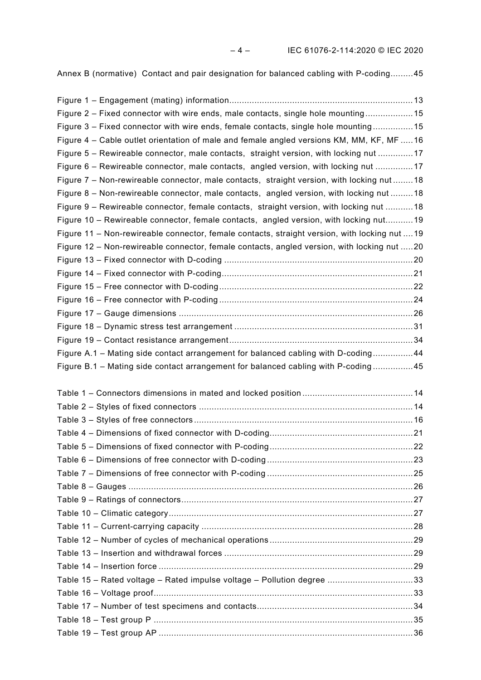Annex B (normative) Contact and pair designation for balanced cabling with P-coding.........45

| Figure 2 – Fixed connector with wire ends, male contacts, single hole mounting15              |  |
|-----------------------------------------------------------------------------------------------|--|
| Figure 3 – Fixed connector with wire ends, female contacts, single hole mounting15            |  |
| Figure 4 – Cable outlet orientation of male and female angled versions KM, MM, KF, MF 16      |  |
| Figure 5 - Rewireable connector, male contacts, straight version, with locking nut 17         |  |
| Figure 6 - Rewireable connector, male contacts, angled version, with locking nut 17           |  |
| Figure 7 - Non-rewireable connector, male contacts, straight version, with locking nut18      |  |
| Figure 8 - Non-rewireable connector, male contacts, angled version, with locking nut 18       |  |
| Figure 9 - Rewireable connector, female contacts, straight version, with locking nut 18       |  |
| Figure 10 - Rewireable connector, female contacts, angled version, with locking nut19         |  |
| Figure 11 - Non-rewireable connector, female contacts, straight version, with locking nut  19 |  |
| Figure 12 - Non-rewireable connector, female contacts, angled version, with locking nut 20    |  |
|                                                                                               |  |
|                                                                                               |  |
|                                                                                               |  |
|                                                                                               |  |
|                                                                                               |  |
|                                                                                               |  |
|                                                                                               |  |
| Figure A.1 - Mating side contact arrangement for balanced cabling with D-coding44             |  |
| Figure B.1 - Mating side contact arrangement for balanced cabling with P-coding45             |  |
|                                                                                               |  |
|                                                                                               |  |
|                                                                                               |  |
|                                                                                               |  |
|                                                                                               |  |
|                                                                                               |  |
|                                                                                               |  |
|                                                                                               |  |
|                                                                                               |  |
|                                                                                               |  |
|                                                                                               |  |
|                                                                                               |  |
|                                                                                               |  |
|                                                                                               |  |
|                                                                                               |  |
| Table 15 - Rated voltage - Rated impulse voltage - Pollution degree 33                        |  |
|                                                                                               |  |
|                                                                                               |  |
|                                                                                               |  |
|                                                                                               |  |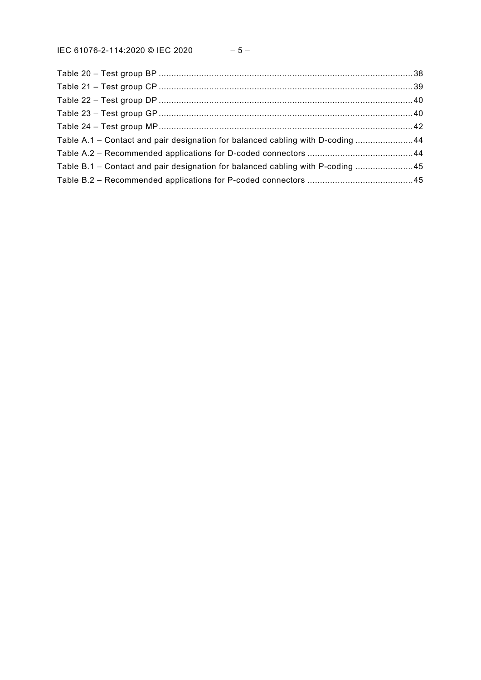| Table A.1 – Contact and pair designation for balanced cabling with D-coding 44 |  |
|--------------------------------------------------------------------------------|--|
|                                                                                |  |
| Table B.1 - Contact and pair designation for balanced cabling with P-coding 45 |  |
|                                                                                |  |
|                                                                                |  |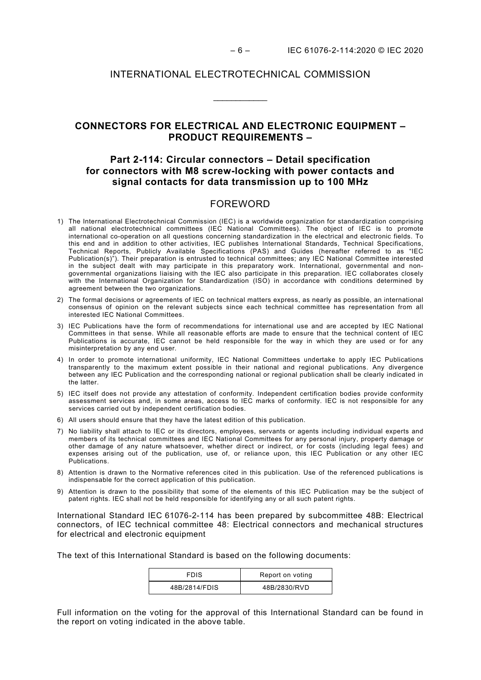#### INTERNATIONAL ELECTROTECHNICAL COMMISSION

\_\_\_\_\_\_\_\_\_\_\_\_

## **CONNECTORS FOR ELECTRICAL AND ELECTRONIC EQUIPMENT – PRODUCT REQUIREMENTS –**

## **Part 2-114: Circular connectors – Detail specification for connectors with M8 screw-locking with power contacts and signal contacts for data transmission up to 100 MHz**

#### FOREWORD

- <span id="page-5-0"></span>1) The International Electrotechnical Commission (IEC) is a worldwide organization for standardization comprising all national electrotechnical committees (IEC National Committees). The object of IEC is to promote international co-operation on all questions concerning standardization in the electrical and electronic fields. To this end and in addition to other activities, IEC publishes International Standards, Technical Specifications, Technical Reports, Publicly Available Specifications (PAS) and Guides (hereafter referred to as "IEC Publication(s)"). Their preparation is entrusted to technical committees; any IEC National Committee interested in the subject dealt with may participate in this preparatory work. International, governmental and nongovernmental organizations liaising with the IEC also participate in this preparation. IEC collaborates closely with the International Organization for Standardization (ISO) in accordance with conditions determined by agreement between the two organizations.
- 2) The formal decisions or agreements of IEC on technical matters express, as nearly as possible, an international consensus of opinion on the relevant subjects since each technical committee has representation from all interested IEC National Committees.
- 3) IEC Publications have the form of recommendations for international use and are accepted by IEC National Committees in that sense. While all reasonable efforts are made to ensure that the technical content of IEC Publications is accurate, IEC cannot be held responsible for the way in which they are used or for any misinterpretation by any end user.
- 4) In order to promote international uniformity, IEC National Committees undertake to apply IEC Publications transparently to the maximum extent possible in their national and regional publications. Any divergence between any IEC Publication and the corresponding national or regional publication shall be clearly indicated in the latter.
- 5) IEC itself does not provide any attestation of conformity. Independent certification bodies provide conformity assessment services and, in some areas, access to IEC marks of conformity. IEC is not responsible for any services carried out by independent certification bodies.
- 6) All users should ensure that they have the latest edition of this publication.
- 7) No liability shall attach to IEC or its directors, employees, servants or agents including individual experts and members of its technical committees and IEC National Committees for any personal injury, property damage or other damage of any nature whatsoever, whether direct or indirect, or for costs (including legal fees) and expenses arising out of the publication, use of, or reliance upon, this IEC Publication or any other IEC Publications.
- 8) Attention is drawn to the Normative references cited in this publication. Use of the referenced publications is indispensable for the correct application of this publication.
- 9) Attention is drawn to the possibility that some of the elements of this IEC Publication may be the subject of patent rights. IEC shall not be held responsible for identifying any or all such patent rights.

International Standard IEC 61076-2-114 has been prepared by subcommittee 48B: Electrical connectors, of IEC technical committee 48: Electrical connectors and mechanical structures for electrical and electronic equipment

The text of this International Standard is based on the following documents:

| <b>FDIS</b>   | Report on voting |
|---------------|------------------|
| 48B/2814/FDIS | 48B/2830/RVD     |

Full information on the voting for the approval of this International Standard can be found in the report on voting indicated in the above table.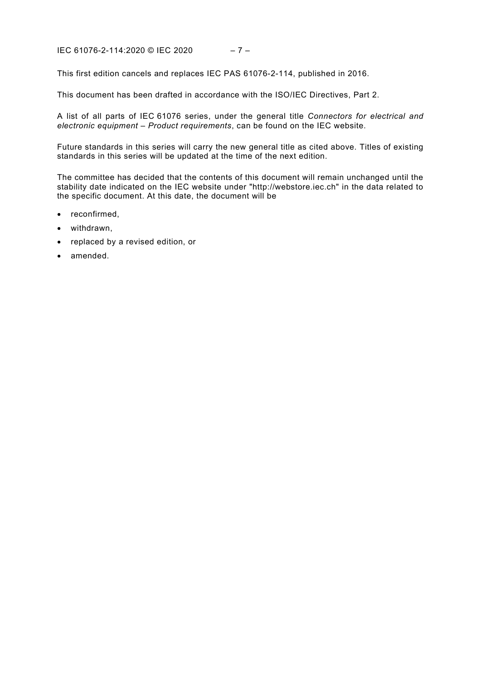This first edition cancels and replaces IEC PAS 61076-2-114, published in 2016.

This document has been drafted in accordance with the ISO/IEC Directives, Part 2.

A list of all parts of IEC 61076 series, under the general title *Connectors for electrical and electronic equipment – Product requirements*, can be found on the IEC website.

Future standards in this series will carry the new general title as cited above. Titles of existing standards in this series will be updated at the time of the next edition.

The committee has decided that the contents of this document will remain unchanged until the stability date indicated on the IEC website under "http://webstore.iec.ch" in the data related to the specific document. At this date, the document will be

- reconfirmed,
- withdrawn,
- replaced by a revised edition, or
- amended.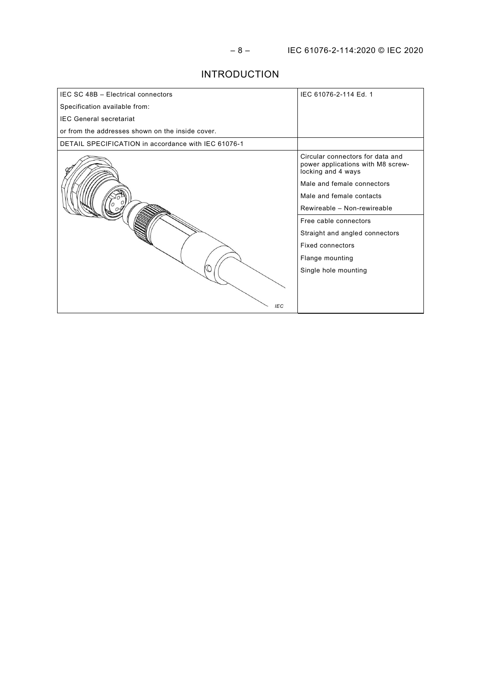# – 8 – IEC 61076-2-114:2020 © IEC 2020

<span id="page-7-0"></span>

| IEC SC 48B - Electrical connectors                  | IEC 61076-2-114 Ed. 1                                                                       |
|-----------------------------------------------------|---------------------------------------------------------------------------------------------|
| Specification available from:                       |                                                                                             |
| <b>IEC General secretariat</b>                      |                                                                                             |
| or from the addresses shown on the inside cover.    |                                                                                             |
| DETAIL SPECIFICATION in accordance with IEC 61076-1 |                                                                                             |
|                                                     | Circular connectors for data and<br>power applications with M8 screw-<br>locking and 4 ways |
|                                                     | Male and female connectors                                                                  |
|                                                     | Male and female contacts                                                                    |
|                                                     | Rewireable - Non-rewireable                                                                 |
|                                                     | Free cable connectors                                                                       |
|                                                     | Straight and angled connectors                                                              |
|                                                     | Fixed connectors                                                                            |
|                                                     | Flange mounting                                                                             |
|                                                     | Single hole mounting                                                                        |
|                                                     |                                                                                             |
| <b>IEC</b>                                          |                                                                                             |

# INTRODUCTION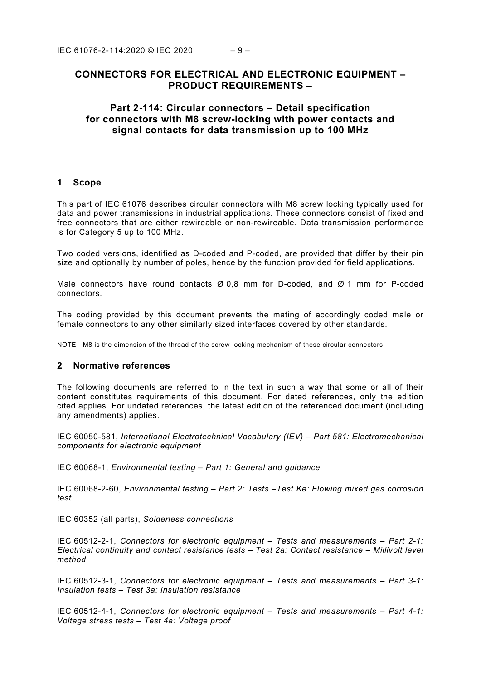### **CONNECTORS FOR ELECTRICAL AND ELECTRONIC EQUIPMENT – PRODUCT REQUIREMENTS –**

## **Part 2-114: Circular connectors – Detail specification for connectors with M8 screw-locking with power contacts and signal contacts for data transmission up to 100 MHz**

#### <span id="page-8-0"></span>**1 Scope**

This part of IEC 61076 describes circular connectors with M8 screw locking typically used for data and power transmissions in industrial applications. These connectors consist of fixed and free connectors that are either rewireable or non-rewireable. Data transmission performance is for Category 5 up to 100 MHz.

Two coded versions, identified as D-coded and P-coded, are provided that differ by their pin size and optionally by number of poles, hence by the function provided for field applications.

Male connectors have round contacts  $\varnothing$  0,8 mm for D-coded, and  $\varnothing$  1 mm for P-coded connectors.

The coding provided by this document prevents the mating of accordingly coded male or female connectors to any other similarly sized interfaces covered by other standards.

NOTE M8 is the dimension of the thread of the screw-locking mechanism of these circular connectors.

#### <span id="page-8-1"></span>**2 Normative references**

The following documents are referred to in the text in such a way that some or all of their content constitutes requirements of this document. For dated references, only the edition cited applies. For undated references, the latest edition of the referenced document (including any amendments) applies.

IEC 60050-581, *International Electrotechnical Vocabulary (IEV) – Part 581: Electromechanical components for electronic equipment*

IEC 60068-1, *Environmental testing – Part 1: General and guidance*

IEC 60068-2-60, *Environmental testing – Part 2: Tests –Test Ke: Flowing mixed gas corrosion test*

IEC 60352 (all parts), *Solderless connections*

IEC 60512-2-1, *Connectors for electronic equipment – Tests and measurements – Part 2-1: Electrical continuity and contact resistance tests – Test 2a: Contact resistance – Millivolt level method*

IEC 60512-3-1, *Connectors for electronic equipment – Tests and measurements – Part 3-1: Insulation tests – Test 3a: Insulation resistance*

IEC 60512-4-1, *Connectors for electronic equipment – Tests and measurements – Part 4-1: Voltage stress tests – Test 4a: Voltage proof*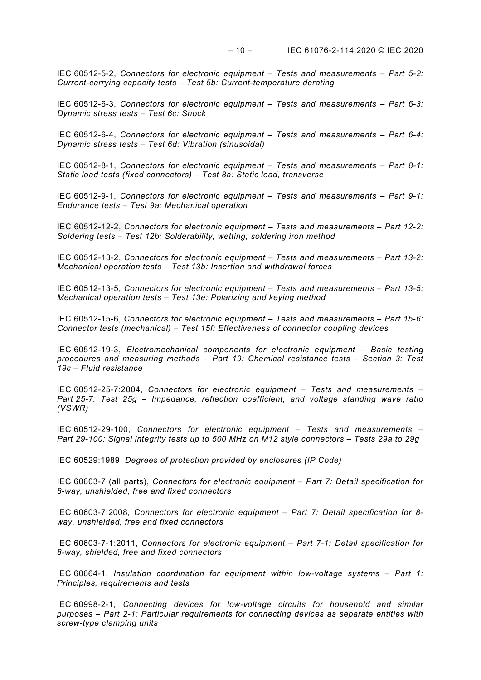IEC 60512-5-2, *Connectors for electronic equipment – Tests and measurements – Part 5-2: Current-carrying capacity tests – Test 5b: Current-temperature derating*

IEC 60512-6-3, *Connectors for electronic equipment – Tests and measurements – Part 6-3: Dynamic stress tests – Test 6c: Shock*

IEC 60512-6-4, *Connectors for electronic equipment – Tests and measurements – Part 6-4: Dynamic stress tests – Test 6d: Vibration (sinusoidal)*

IEC 60512-8-1, *Connectors for electronic equipment – Tests and measurements – Part 8-1: Static load tests (fixed connectors) – Test 8a: Static load, transverse*

IEC 60512-9-1, *Connectors for electronic equipment – Tests and measurements – Part 9-1: Endurance tests – Test 9a: Mechanical operation*

[IEC 60512-12-2,](https://webstore.iec.ch/publication/2320) *Connectors for electronic equipment – Tests and measurements – Part 12-2: Soldering tests – Test 12b: Solderability, wetting, soldering iron method*

IEC 60512-13-2, *Connectors for electronic equipment – Tests and measurements – Part 13-2: Mechanical operation tests – Test 13b: Insertion and withdrawal forces*

IEC 60512-13-5, *Connectors for electronic equipment – Tests and measurements – Part 13-5: Mechanical operation tests – Test 13e: Polarizing and keying method*

IEC 60512-15-6, *Connectors for electronic equipment – Tests and measurements – Part 15-6: Connector tests (mechanical) – Test 15f: Effectiveness of connector coupling devices*

IEC 60512-19-3, *Electromechanical components for electronic equipment – Basic testing procedures and measuring methods – Part 19: Chemical resistance tests – Section 3: Test 19c – Fluid resistance*

IEC 60512-25-7:2004, *Connectors for electronic equipment – Tests and measurements – Part 25-7: Test 25g – Impedance, reflection coefficient, and voltage standing wave ratio (VSWR)*

IEC 60512-29-100, *Connectors for electronic equipment – Tests and measurements – Part 29-100: Signal integrity tests up to 500 MHz on M12 style connectors – Tests 29a to 29g*

IEC 60529:1989, *Degrees of protection provided by enclosures (IP Code)*

IEC 60603-7 (all parts), *Connectors for electronic equipment – Part 7: Detail specification for 8-way, unshielded, free and fixed connectors*

IEC 60603-7:2008, *Connectors for electronic equipment – Part 7: Detail specification for 8 way, unshielded, free and fixed connectors*

IEC 60603-7-1:2011, *Connectors for electronic equipment – Part 7-1: Detail specification for 8-way, shielded, free and fixed connectors*

IEC 60664-1, *Insulation coordination for equipment within low-voltage systems – Part 1: Principles, requirements and tests*

IEC 60998-2-1, *Connecting devices for low-voltage circuits for household and similar purposes – Part 2-1: Particular requirements for connecting devices as separate entities with screw-type clamping units*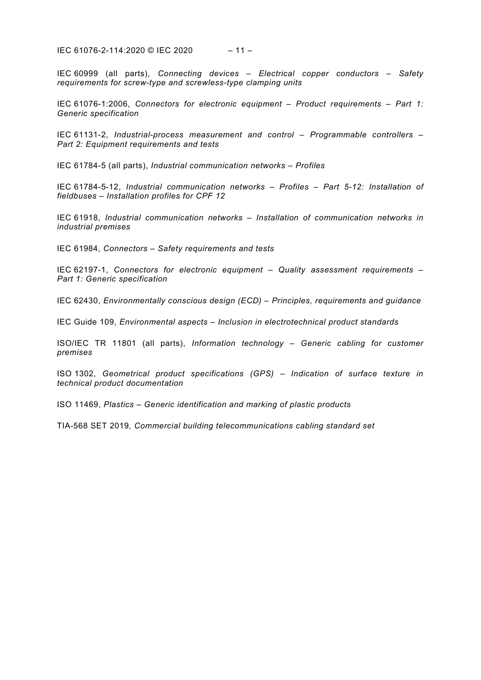IEC 61076-2-114:2020 © IEC 2020 – 11 –

IEC 60999 (all parts), *Connecting devices – Electrical copper conductors – Safety requirements for screw-type and screwless-type clamping units* 

IEC 61076-1:2006, *Connectors for electronic equipment – Product requirements – Part 1: Generic specification*

IEC 61131-2, *Industrial-process measurement and control – Programmable controllers – Part 2: Equipment requirements and tests*

IEC 61784-5 (all parts), *Industrial communication networks – Profiles*

IEC 61784-5-12, *Industrial communication networks – Profiles – Part 5-12: Installation of fieldbuses – Installation profiles for CPF 12*

IEC 61918, *Industrial communication networks – Installation of communication networks in industrial premises*

IEC 61984, *Connectors – Safety requirements and tests*

IEC 62197-1, *Connectors for electronic equipment – Quality assessment requirements – Part 1: Generic specification*

IEC 62430, *Environmentally conscious design (ECD) – Principles, requirements and guidance*

IEC Guide 109, *Environmental aspects – Inclusion in electrotechnical product standards*

ISO/IEC TR 11801 (all parts), *Information technology – Generic cabling for customer premises*

ISO 1302, *Geometrical product specifications (GPS) – Indication of surface texture in technical product documentation*

ISO 11469, *Plastics – Generic identification and marking of plastic products*

<span id="page-10-0"></span>TIA-568 SET 2019*, Commercial building telecommunications cabling standard set*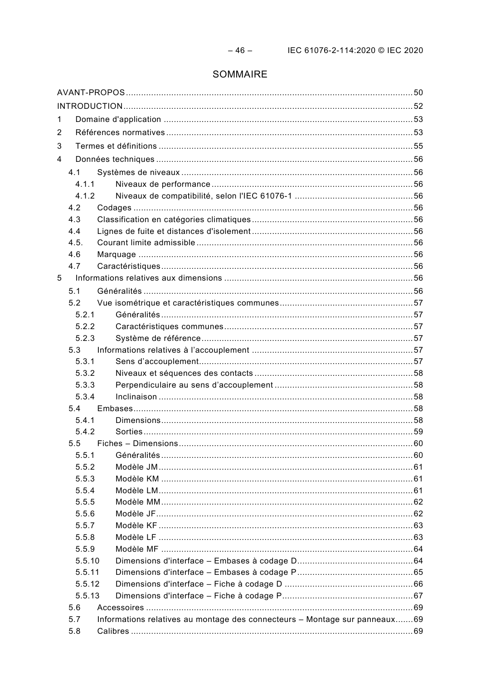# SOMMAIRE

| 1 |        |                                                                            |  |
|---|--------|----------------------------------------------------------------------------|--|
| 2 |        |                                                                            |  |
| 3 |        |                                                                            |  |
| 4 |        |                                                                            |  |
|   | 4.1    |                                                                            |  |
|   | 4.1.1  |                                                                            |  |
|   | 4.1.2  |                                                                            |  |
|   | 4.2    |                                                                            |  |
|   | 4.3    |                                                                            |  |
|   | 4.4    |                                                                            |  |
|   | 4.5.   |                                                                            |  |
|   | 4.6    |                                                                            |  |
|   | 4.7    |                                                                            |  |
| 5 |        |                                                                            |  |
|   | 5.1    |                                                                            |  |
|   | 5.2    |                                                                            |  |
|   | 5.2.1  |                                                                            |  |
|   | 5.2.2  |                                                                            |  |
|   | 5.2.3  |                                                                            |  |
|   | 5.3    |                                                                            |  |
|   | 5.3.1  |                                                                            |  |
|   | 5.3.2  |                                                                            |  |
|   | 5.3.3  |                                                                            |  |
|   | 5.3.4  |                                                                            |  |
|   | 5.4    |                                                                            |  |
|   | 5.4.1  |                                                                            |  |
|   | 5.4.2  |                                                                            |  |
|   | 5.5    |                                                                            |  |
|   | 5.5.1  |                                                                            |  |
|   | 5.5.2  |                                                                            |  |
|   | 5.5.3  |                                                                            |  |
|   | 5.5.4  |                                                                            |  |
|   | 5.5.5  |                                                                            |  |
|   | 5.5.6  |                                                                            |  |
|   | 5.5.7  |                                                                            |  |
|   | 5.5.8  |                                                                            |  |
|   | 5.5.9  |                                                                            |  |
|   | 5.5.10 |                                                                            |  |
|   | 5.5.11 |                                                                            |  |
|   | 5.5.12 |                                                                            |  |
|   | 5.5.13 |                                                                            |  |
|   | 5.6    |                                                                            |  |
|   | 5.7    | Informations relatives au montage des connecteurs - Montage sur panneaux69 |  |
|   | 5.8    |                                                                            |  |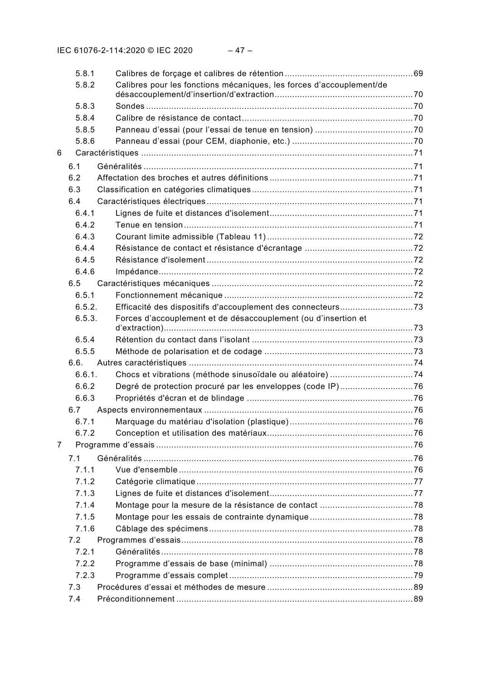|   | 5.8.1  |                                                                      |  |
|---|--------|----------------------------------------------------------------------|--|
|   | 5.8.2  | Calibres pour les fonctions mécaniques, les forces d'accouplement/de |  |
|   | 5.8.3  |                                                                      |  |
|   | 5.8.4  |                                                                      |  |
|   | 5.8.5  |                                                                      |  |
|   | 5.8.6  |                                                                      |  |
| 6 |        |                                                                      |  |
|   |        |                                                                      |  |
|   | 6.1    |                                                                      |  |
|   | 6.2    |                                                                      |  |
|   | 6.3    |                                                                      |  |
|   | 6.4    |                                                                      |  |
|   | 6.4.1  |                                                                      |  |
|   | 6.4.2  |                                                                      |  |
|   | 6.4.3  |                                                                      |  |
|   | 6.4.4  |                                                                      |  |
|   | 6.4.5  |                                                                      |  |
|   | 6.4.6  |                                                                      |  |
|   | 6.5    |                                                                      |  |
|   | 6.5.1  |                                                                      |  |
|   | 6.5.2. |                                                                      |  |
|   | 6.5.3. | Forces d'accouplement et de désaccouplement (ou d'insertion et       |  |
|   | 6.5.4  |                                                                      |  |
|   | 6.5.5  |                                                                      |  |
|   | 6.6.   |                                                                      |  |
|   | 6.6.1. |                                                                      |  |
|   | 6.6.2  |                                                                      |  |
|   | 6.6.3  |                                                                      |  |
|   | 6.7    |                                                                      |  |
|   | 6.7.1  |                                                                      |  |
|   | 6.7.2  |                                                                      |  |
| 7 |        |                                                                      |  |
|   | 7.1    |                                                                      |  |
|   | 7.1.1  |                                                                      |  |
|   | 7.1.2  |                                                                      |  |
|   | 7.1.3  |                                                                      |  |
|   | 7.1.4  |                                                                      |  |
|   | 7.1.5  |                                                                      |  |
|   | 7.1.6  |                                                                      |  |
|   | 7.2    |                                                                      |  |
|   | 7.2.1  |                                                                      |  |
|   | 7.2.2  |                                                                      |  |
|   | 7.2.3  |                                                                      |  |
|   | 7.3    |                                                                      |  |
|   | 7.4    |                                                                      |  |
|   |        |                                                                      |  |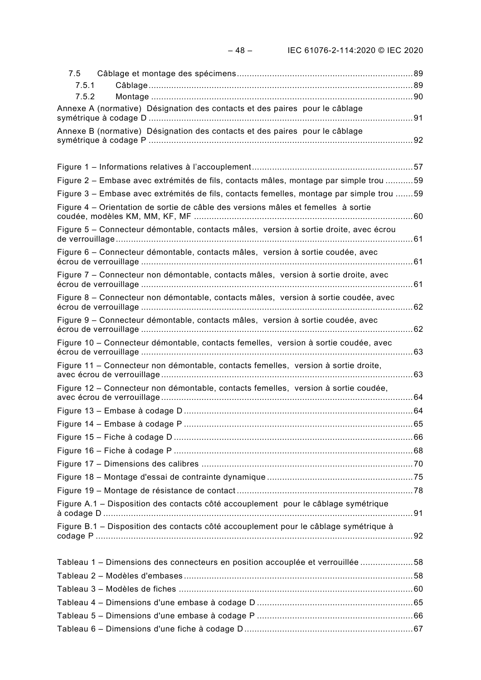| 7.5                                                                                      |      |
|------------------------------------------------------------------------------------------|------|
| 7.5.1                                                                                    |      |
| 7.5.2                                                                                    |      |
| Annexe A (normative) Désignation des contacts et des paires pour le câblage              |      |
| Annexe B (normative) Désignation des contacts et des paires pour le câblage              |      |
|                                                                                          |      |
| Figure 2 – Embase avec extrémités de fils, contacts mâles, montage par simple trou 59    |      |
| Figure 3 - Embase avec extrémités de fils, contacts femelles, montage par simple trou 59 |      |
| Figure 4 – Orientation de sortie de câble des versions mâles et femelles à sortie        |      |
| Figure 5 - Connecteur démontable, contacts mâles, version à sortie droite, avec écrou    |      |
| Figure 6 - Connecteur démontable, contacts mâles, version à sortie coudée, avec          |      |
| Figure 7 – Connecteur non démontable, contacts mâles, version à sortie droite, avec      | . 61 |
| Figure 8 - Connecteur non démontable, contacts mâles, version à sortie coudée, avec      |      |
| Figure 9 - Connecteur démontable, contacts mâles, version à sortie coudée, avec          | .62  |
| Figure 10 - Connecteur démontable, contacts femelles, version à sortie coudée, avec      |      |
| Figure 11 - Connecteur non démontable, contacts femelles, version à sortie droite,       |      |
| Figure 12 – Connecteur non démontable, contacts femelles, version à sortie coudée,       |      |
|                                                                                          |      |
|                                                                                          |      |
|                                                                                          |      |
|                                                                                          |      |
|                                                                                          |      |
|                                                                                          |      |
|                                                                                          |      |
| Figure A.1 - Disposition des contacts côté accouplement pour le câblage symétrique       |      |
| Figure B.1 - Disposition des contacts côté accouplement pour le câblage symétrique à     |      |
| Tableau 1 – Dimensions des connecteurs en position accouplée et verrouillée 58           |      |
|                                                                                          |      |
|                                                                                          |      |
|                                                                                          |      |
|                                                                                          |      |
|                                                                                          |      |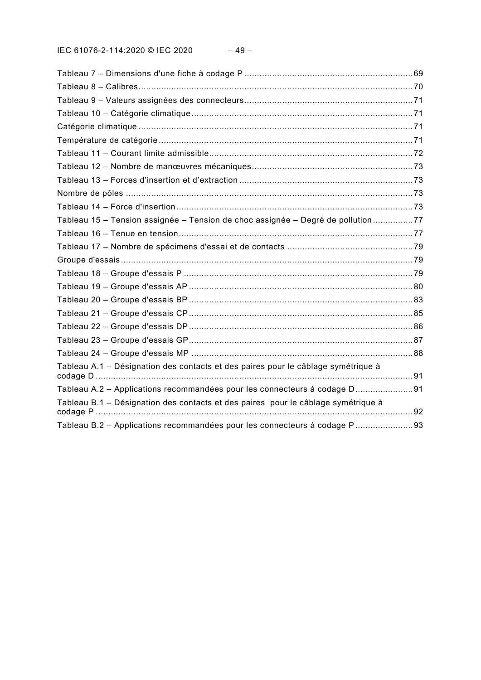| Tableau 15 - Tension assignée - Tension de choc assignée - Degré de pollution77   |  |
|-----------------------------------------------------------------------------------|--|
|                                                                                   |  |
|                                                                                   |  |
|                                                                                   |  |
|                                                                                   |  |
|                                                                                   |  |
|                                                                                   |  |
|                                                                                   |  |
|                                                                                   |  |
|                                                                                   |  |
|                                                                                   |  |
| Tableau A.1 - Désignation des contacts et des paires pour le câblage symétrique à |  |
| Tableau A.2 - Applications recommandées pour les connecteurs à codage D91         |  |
| Tableau B.1 - Désignation des contacts et des paires pour le câblage symétrique à |  |
| Tableau B.2 - Applications recommandées pour les connecteurs à codage P93         |  |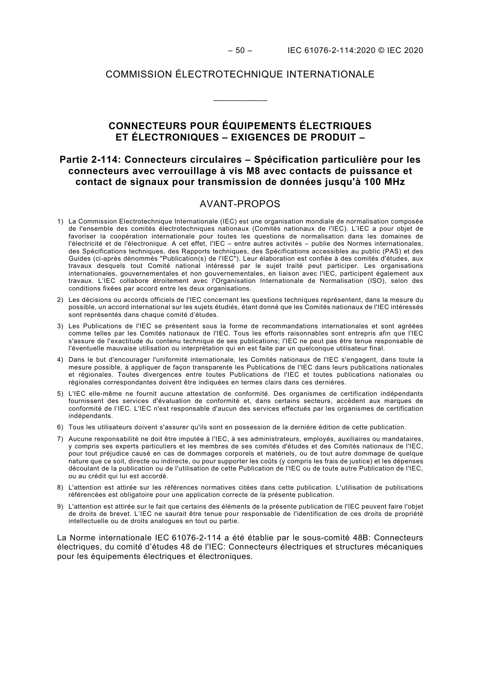## COMMISSION ÉLECTROTECHNIQUE INTERNATIONALE

\_\_\_\_\_\_\_\_\_\_\_\_

# **CONNECTEURS POUR ÉQUIPEMENTS ÉLECTRIQUES ET ÉLECTRONIQUES – EXIGENCES DE PRODUIT –**

## **Partie 2-114: Connecteurs circulaires – Spécification particulière pour les connecteurs avec verrouillage à vis M8 avec contacts de puissance et contact de signaux pour transmission de données jusqu'à 100 MHz**

#### AVANT-PROPOS

- <span id="page-15-0"></span>1) La Commission Electrotechnique Internationale (IEC) est une organisation mondiale de normalisation composée de l'ensemble des comités électrotechniques nationaux (Comités nationaux de l'IEC). L'IEC a pour objet de favoriser la coopération internationale pour toutes les questions de normalisation dans les domaines de l'électricité et de l'électronique. A cet effet, l'IEC – entre autres activités – publie des Normes internationales, des Spécifications techniques, des Rapports techniques, des Spécifications accessibles au public (PAS) et des Guides (ci-après dénommés "Publication(s) de l'IEC"). Leur élaboration est confiée à des comités d'études, aux travaux desquels tout Comité national intéressé par le sujet traité peut participer. Les organisations internationales, gouvernementales et non gouvernementales, en liaison avec l'IEC, participent également aux travaux. L'IEC collabore étroitement avec l'Organisation Internationale de Normalisation (ISO), selon des conditions fixées par accord entre les deux organisations.
- 2) Les décisions ou accords officiels de l'IEC concernant les questions techniques représentent, dans la mesure du possible, un accord international sur les sujets étudiés, étant donné que les Comités nationaux de l'IEC intéressés sont représentés dans chaque comité d'études.
- 3) Les Publications de l'IEC se présentent sous la forme de recommandations internationales et sont agréées comme telles par les Comités nationaux de l'IEC. Tous les efforts raisonnables sont entrepris afin que l'IEC s'assure de l'exactitude du contenu technique de ses publications; l'IEC ne peut pas être tenue responsable de l'éventuelle mauvaise utilisation ou interprétation qui en est faite par un quelconque utilisateur final.
- 4) Dans le but d'encourager l'uniformité internationale, les Comités nationaux de l'IEC s'engagent, dans toute la mesure possible, à appliquer de façon transparente les Publications de l'IEC dans leurs publications nationales et régionales. Toutes divergences entre toutes Publications de l'IEC et toutes publications nationales ou régionales correspondantes doivent être indiquées en termes clairs dans ces dernières.
- 5) L'IEC elle-même ne fournit aucune attestation de conformité. Des organismes de certification indépendants fournissent des services d'évaluation de conformité et, dans certains secteurs, accèdent aux marques de conformité de l'IEC. L'IEC n'est responsable d'aucun des services effectués par les organismes de certification indépendants.
- 6) Tous les utilisateurs doivent s'assurer qu'ils sont en possession de la dernière édition de cette publication.
- 7) Aucune responsabilité ne doit être imputée à l'IEC, à ses administrateurs, employés, auxiliaires ou mandataires, y compris ses experts particuliers et les membres de ses comités d'études et des Comités nationaux de l'IEC, pour tout préjudice causé en cas de dommages corporels et matériels, ou de tout autre dommage de quelque nature que ce soit, directe ou indirecte, ou pour supporter les coûts (y compris les frais de justice) et les dépenses découlant de la publication ou de l'utilisation de cette Publication de l'IEC ou de toute autre Publication de l'IEC, ou au crédit qui lui est accordé.
- 8) L'attention est attirée sur les références normatives citées dans cette publication. L'utilisation de publications référencées est obligatoire pour une application correcte de la présente publication.
- 9) L'attention est attirée sur le fait que certains des éléments de la présente publication de l'IEC peuvent faire l'objet de droits de brevet. L'IEC ne saurait être tenue pour responsable de l'identification de ces droits de propriété intellectuelle ou de droits analogues en tout ou partie.

La Norme internationale IEC 61076-2-114 a été établie par le sous-comité 48B: Connecteurs électriques, du comité d'études 48 de l'IEC: Connecteurs électriques et structures mécaniques pour les équipements électriques et électroniques.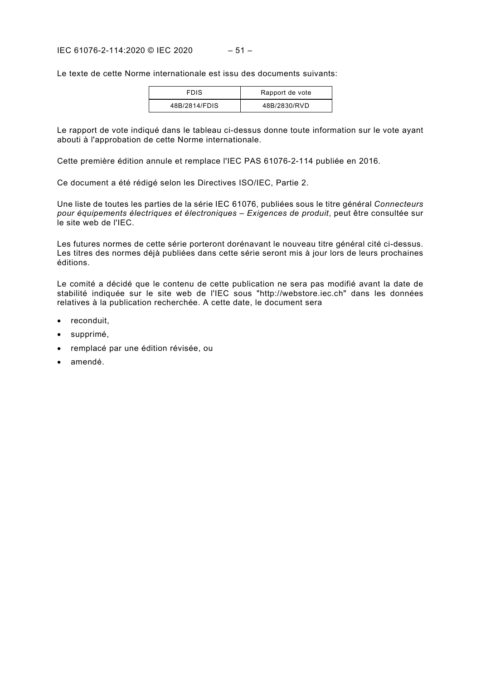Le texte de cette Norme internationale est issu des documents suivants:

| <b>FDIS</b>   | Rapport de vote |
|---------------|-----------------|
| 48B/2814/FDIS | 48B/2830/RVD    |

Le rapport de vote indiqué dans le tableau ci-dessus donne toute information sur le vote ayant abouti à l'approbation de cette Norme internationale.

Cette première édition annule et remplace l'IEC PAS 61076-2-114 publiée en 2016.

Ce document a été rédigé selon les Directives ISO/IEC, Partie 2.

Une liste de toutes les parties de la série IEC 61076, publiées sous le titre général *Connecteurs pour équipements électriques et électroniques – Exigences de produit*, peut être consultée sur le site web de l'IEC.

Les futures normes de cette série porteront dorénavant le nouveau titre général cité ci-dessus. Les titres des normes déjà publiées dans cette série seront mis à jour lors de leurs prochaines éditions.

Le comité a décidé que le contenu de cette publication ne sera pas modifié avant la date de stabilité indiquée sur le site web de l'IEC sous "http://webstore.iec.ch" dans les données relatives à la publication recherchée. A cette date, le document sera

- reconduit,
- supprimé,
- remplacé par une édition révisée, ou
- amendé.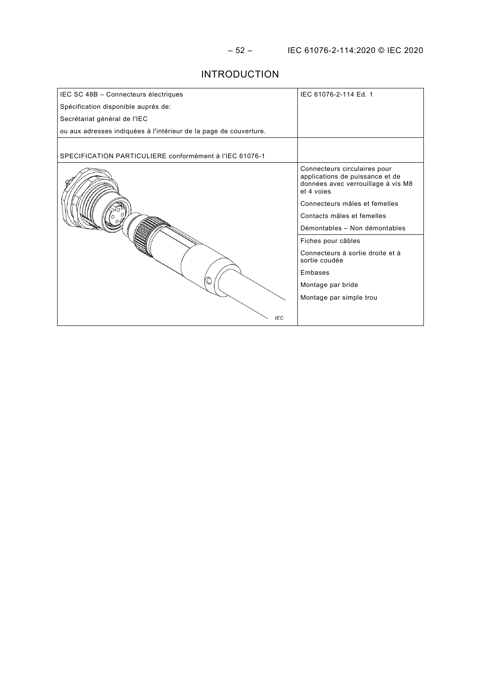# INTRODUCTION

<span id="page-17-0"></span>

| IEC SC 48B - Connecteurs électriques                              | IEC 61076-2-114 Ed. 1                                                                                               |
|-------------------------------------------------------------------|---------------------------------------------------------------------------------------------------------------------|
| Spécification disponible auprès de:                               |                                                                                                                     |
| Secrétariat général de l'IEC                                      |                                                                                                                     |
| ou aux adresses indiquées à l'intérieur de la page de couverture. |                                                                                                                     |
| SPECIFICATION PARTICULIERE conformément à l'IEC 61076-1           |                                                                                                                     |
|                                                                   | Connecteurs circulaires pour<br>applications de puissance et de<br>données avec verrouillage à vis M8<br>et 4 voies |
|                                                                   | Connecteurs mâles et femelles                                                                                       |
|                                                                   | Contacts mâles et femelles                                                                                          |
|                                                                   | Démontables - Non démontables                                                                                       |
|                                                                   | Fiches pour câbles                                                                                                  |
|                                                                   | Connecteurs à sortie droite et à<br>sortie coudée                                                                   |
|                                                                   | Embases                                                                                                             |
|                                                                   | Montage par bride                                                                                                   |
|                                                                   | Montage par simple trou                                                                                             |
| <b>IEC</b>                                                        |                                                                                                                     |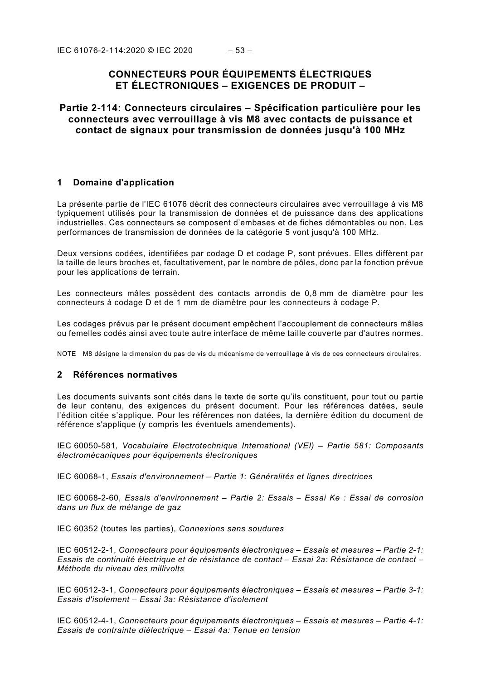## **CONNECTEURS POUR ÉQUIPEMENTS ÉLECTRIQUES ET ÉLECTRONIQUES – EXIGENCES DE PRODUIT –**

**Partie 2-114: Connecteurs circulaires – Spécification particulière pour les connecteurs avec verrouillage à vis M8 avec contacts de puissance et contact de signaux pour transmission de données jusqu'à 100 MHz**

#### <span id="page-18-0"></span>**1 Domaine d'application**

La présente partie de l'IEC 61076 décrit des connecteurs circulaires avec verrouillage à vis M8 typiquement utilisés pour la transmission de données et de puissance dans des applications industrielles. Ces connecteurs se composent d'embases et de fiches démontables ou non. Les performances de transmission de données de la catégorie 5 vont jusqu'à 100 MHz.

Deux versions codées, identifiées par codage D et codage P, sont prévues. Elles diffèrent par la taille de leurs broches et, facultativement, par le nombre de pôles, donc par la fonction prévue pour les applications de terrain.

Les connecteurs mâles possèdent des contacts arrondis de 0,8 mm de diamètre pour les connecteurs à codage D et de 1 mm de diamètre pour les connecteurs à codage P.

Les codages prévus par le présent document empêchent l'accouplement de connecteurs mâles ou femelles codés ainsi avec toute autre interface de même taille couverte par d'autres normes.

NOTE M8 désigne la dimension du pas de vis du mécanisme de verrouillage à vis de ces connecteurs circulaires.

#### <span id="page-18-1"></span>**2 Références normatives**

Les documents suivants sont cités dans le texte de sorte qu'ils constituent, pour tout ou partie de leur contenu, des exigences du présent document. Pour les références datées, seule l'édition citée s'applique. Pour les références non datées, la dernière édition du document de référence s'applique (y compris les éventuels amendements).

IEC 60050-581*, Vocabulaire Electrotechnique International (VEI) – Partie 581: Composants électromécaniques pour équipements électroniques*

IEC 60068-1, *Essais d'environnement – Partie 1: Généralités et lignes directrices*

IEC 60068-2-60, *Essais d'environnement – Partie 2: Essais – Essai Ke : Essai de corrosion dans un flux de mélange de gaz*

IEC 60352 (toutes les parties), *Connexions sans soudures*

IEC 60512-2-1, *Connecteurs pour équipements électroniques – Essais et mesures – Partie 2-1: Essais de continuité électrique et de résistance de contact – Essai 2a: Résistance de contact – Méthode du niveau des millivolts*

IEC 60512-3-1, *Connecteurs pour équipements électroniques – Essais et mesures – Partie 3-1: Essais d'isolement – Essai 3a: Résistance d'isolement*

IEC 60512-4-1, *Connecteurs pour équipements électroniques – Essais et mesures – Partie 4-1: Essais de contrainte diélectrique – Essai 4a: Tenue en tension*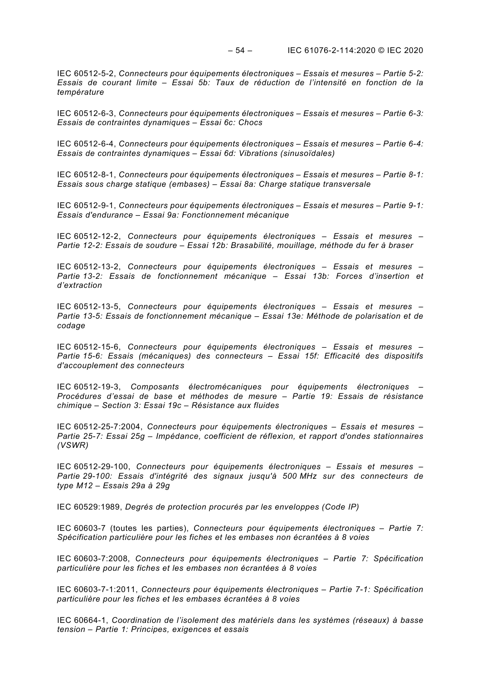IEC 60512-5-2, *Connecteurs pour équipements électroniques – Essais et mesures – Partie 5-2: Essais de courant limite – Essai 5b: Taux de réduction de l'intensité en fonction de la température*

IEC 60512-6-3, *Connecteurs pour équipements électroniques – Essais et mesures – Partie 6-3: Essais de contraintes dynamiques – Essai 6c: Chocs*

IEC 60512-6-4, *Connecteurs pour équipements électroniques – Essais et mesures – Partie 6-4: Essais de contraintes dynamiques – Essai 6d: Vibrations (sinusoïdales)*

IEC 60512-8-1, *Connecteurs pour équipements électroniques – Essais et mesures – Partie 8-1: Essais sous charge statique (embases) – Essai 8a: Charge statique transversale*

IEC 60512-9-1, *Connecteurs pour équipements électroniques – Essais et mesures – Partie 9-1: Essais d'endurance – Essai 9a: Fonctionnement mécanique*

IEC 60512-12-2, *Connecteurs pour équipements électroniques – Essais et mesures – Partie 12-2: Essais de soudure – Essai 12b: Brasabilité, mouillage, méthode du fer à braser*

IEC 60512-13-2, *Connecteurs pour équipements électroniques – Essais et mesures – Partie 13-2: Essais de fonctionnement mécanique – Essai 13b: Forces d'insertion et d'extraction*

IEC 60512-13-5, *Connecteurs pour équipements électroniques – Essais et mesures – Partie 13-5: Essais de fonctionnement mécanique – Essai 13e: Méthode de polarisation et de codage*

IEC 60512-15-6, *Connecteurs pour équipements électroniques – Essais et mesures – Partie 15-6: Essais (mécaniques) des connecteurs – Essai 15f: Efficacité des dispositifs d'accouplement des connecteurs*

IEC 60512-19-3, *Composants électromécaniques pour équipements électroniques Procédures d'essai de base et méthodes de mesure – Partie 19: Essais de résistance chimique – Section 3: Essai 19c – Résistance aux fluides*

IEC 60512-25-7:2004, *Connecteurs pour équipements électroniques – Essais et mesures – Partie 25-7: Essai 25g – Impédance, coefficient de réflexion, et rapport d'ondes stationnaires (VSWR)*

IEC 60512-29-100, *Connecteurs pour équipements électroniques – Essais et mesures – Partie 29-100: Essais d'intégrité des signaux jusqu'à 500 MHz sur des connecteurs de type M12 – Essais 29a à 29g*

IEC 60529:1989, *Degrés de protection procurés par les enveloppes (Code IP)*

IEC 60603-7 (toutes les parties), *Connecteurs pour équipements électroniques – Partie 7: Spécification particulière pour les fiches et les embases non écrantées à 8 voies*

IEC 60603-7:2008, *Connecteurs pour équipements électroniques – Partie 7: Spécification particulière pour les fiches et les embases non écrantées à 8 voies*

IEC 60603-7-1:2011, *Connecteurs pour équipements électroniques – Partie 7-1: Spécification particulière pour les fiches et les embases écrantées à 8 voies*

IEC 60664-1, *Coordination de l'isolement des matériels dans les systèmes (réseaux) à basse tension – Partie 1: Principes, exigences et essais*